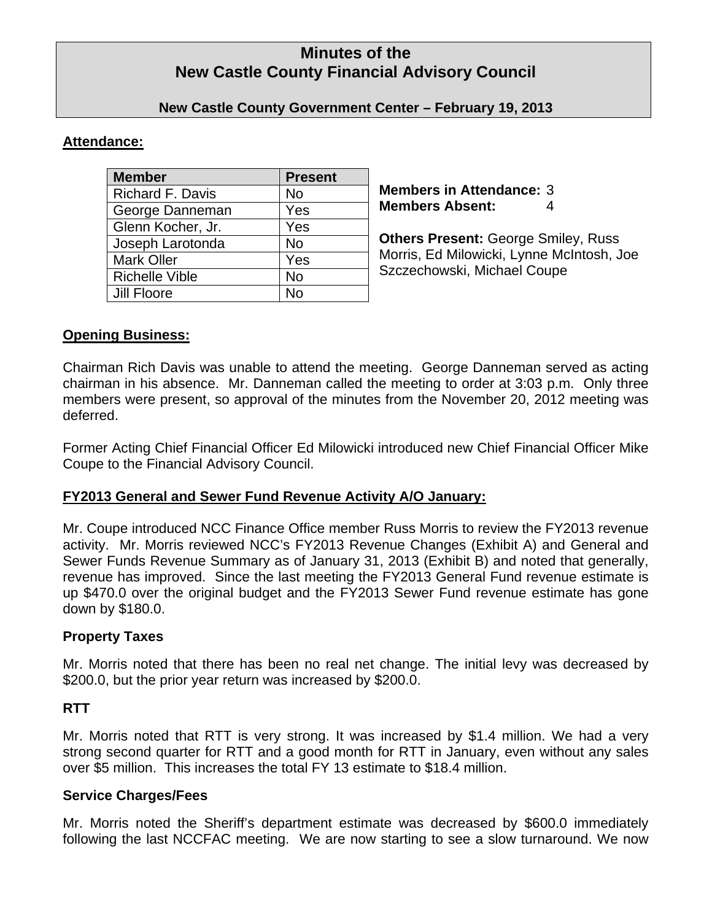# **Minutes of the New Castle County Financial Advisory Council**

## **New Castle County Government Center – February 19, 2013**

## **Attendance:**

| <b>Member</b>           | <b>Present</b> |
|-------------------------|----------------|
| <b>Richard F. Davis</b> | No             |
| George Danneman         | Yes            |
| Glenn Kocher, Jr.       | Yes            |
| Joseph Larotonda        | <b>No</b>      |
| <b>Mark Oller</b>       | Yes            |
| <b>Richelle Vible</b>   | <b>No</b>      |
| Jill Floore             | N۵             |

**Members in Attendance:** 3 **Members Absent:** 4

**Others Present:** George Smiley, Russ Morris, Ed Milowicki, Lynne McIntosh, Joe Szczechowski, Michael Coupe

# **Opening Business:**

Chairman Rich Davis was unable to attend the meeting. George Danneman served as acting chairman in his absence. Mr. Danneman called the meeting to order at 3:03 p.m. Only three members were present, so approval of the minutes from the November 20, 2012 meeting was deferred.

Former Acting Chief Financial Officer Ed Milowicki introduced new Chief Financial Officer Mike Coupe to the Financial Advisory Council.

# **FY2013 General and Sewer Fund Revenue Activity A/O January:**

Mr. Coupe introduced NCC Finance Office member Russ Morris to review the FY2013 revenue activity. Mr. Morris reviewed NCC's FY2013 Revenue Changes (Exhibit A) and General and Sewer Funds Revenue Summary as of January 31, 2013 (Exhibit B) and noted that generally, revenue has improved. Since the last meeting the FY2013 General Fund revenue estimate is up \$470.0 over the original budget and the FY2013 Sewer Fund revenue estimate has gone down by \$180.0.

# **Property Taxes**

Mr. Morris noted that there has been no real net change. The initial levy was decreased by \$200.0, but the prior year return was increased by \$200.0.

# **RTT**

Mr. Morris noted that RTT is very strong. It was increased by \$1.4 million. We had a very strong second quarter for RTT and a good month for RTT in January, even without any sales over \$5 million. This increases the total FY 13 estimate to \$18.4 million.

# **Service Charges/Fees**

Mr. Morris noted the Sheriff's department estimate was decreased by \$600.0 immediately following the last NCCFAC meeting. We are now starting to see a slow turnaround. We now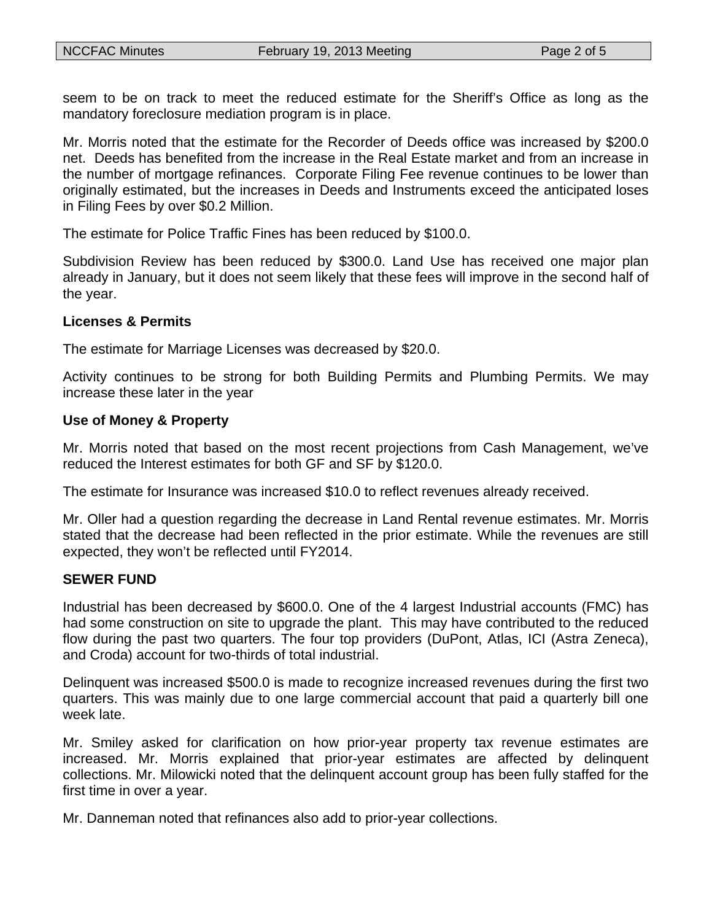seem to be on track to meet the reduced estimate for the Sheriff's Office as long as the mandatory foreclosure mediation program is in place.

Mr. Morris noted that the estimate for the Recorder of Deeds office was increased by \$200.0 net. Deeds has benefited from the increase in the Real Estate market and from an increase in the number of mortgage refinances. Corporate Filing Fee revenue continues to be lower than originally estimated, but the increases in Deeds and Instruments exceed the anticipated loses in Filing Fees by over \$0.2 Million.

The estimate for Police Traffic Fines has been reduced by \$100.0.

Subdivision Review has been reduced by \$300.0. Land Use has received one major plan already in January, but it does not seem likely that these fees will improve in the second half of the year.

#### **Licenses & Permits**

The estimate for Marriage Licenses was decreased by \$20.0.

Activity continues to be strong for both Building Permits and Plumbing Permits. We may increase these later in the year

#### **Use of Money & Property**

Mr. Morris noted that based on the most recent projections from Cash Management, we've reduced the Interest estimates for both GF and SF by \$120.0.

The estimate for Insurance was increased \$10.0 to reflect revenues already received.

Mr. Oller had a question regarding the decrease in Land Rental revenue estimates. Mr. Morris stated that the decrease had been reflected in the prior estimate. While the revenues are still expected, they won't be reflected until FY2014.

#### **SEWER FUND**

Industrial has been decreased by \$600.0. One of the 4 largest Industrial accounts (FMC) has had some construction on site to upgrade the plant. This may have contributed to the reduced flow during the past two quarters. The four top providers (DuPont, Atlas, ICI (Astra Zeneca), and Croda) account for two-thirds of total industrial.

Delinquent was increased \$500.0 is made to recognize increased revenues during the first two quarters. This was mainly due to one large commercial account that paid a quarterly bill one week late.

Mr. Smiley asked for clarification on how prior-year property tax revenue estimates are increased. Mr. Morris explained that prior-year estimates are affected by delinquent collections. Mr. Milowicki noted that the delinquent account group has been fully staffed for the first time in over a year.

Mr. Danneman noted that refinances also add to prior-year collections.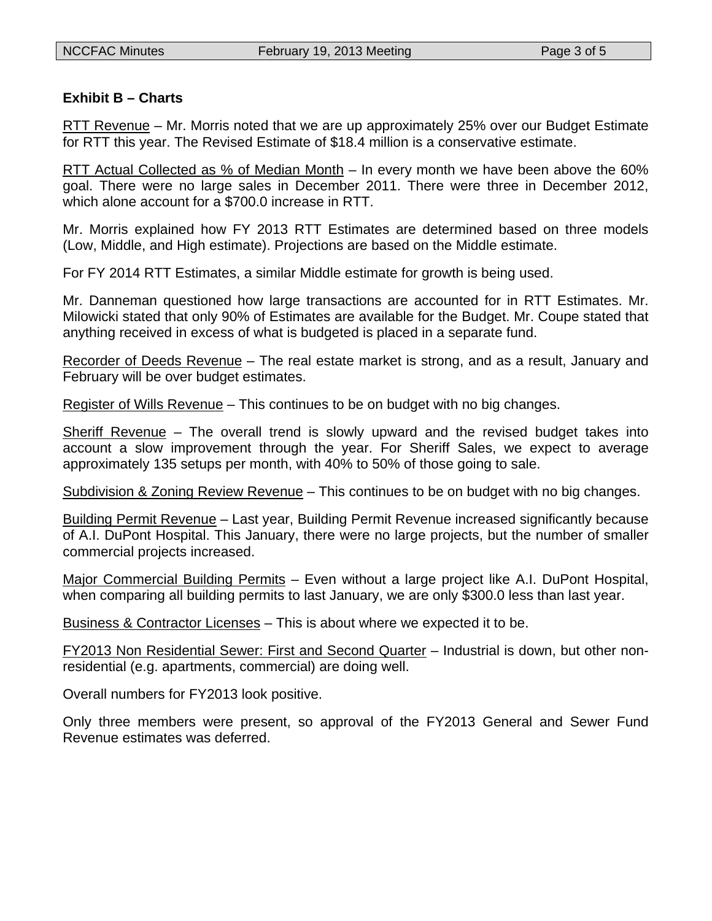# **Exhibit B – Charts**

RTT Revenue – Mr. Morris noted that we are up approximately 25% over our Budget Estimate for RTT this year. The Revised Estimate of \$18.4 million is a conservative estimate.

RTT Actual Collected as % of Median Month – In every month we have been above the 60% goal. There were no large sales in December 2011. There were three in December 2012, which alone account for a \$700.0 increase in RTT.

Mr. Morris explained how FY 2013 RTT Estimates are determined based on three models (Low, Middle, and High estimate). Projections are based on the Middle estimate.

For FY 2014 RTT Estimates, a similar Middle estimate for growth is being used.

Mr. Danneman questioned how large transactions are accounted for in RTT Estimates. Mr. Milowicki stated that only 90% of Estimates are available for the Budget. Mr. Coupe stated that anything received in excess of what is budgeted is placed in a separate fund.

Recorder of Deeds Revenue – The real estate market is strong, and as a result, January and February will be over budget estimates.

Register of Wills Revenue – This continues to be on budget with no big changes.

Sheriff Revenue – The overall trend is slowly upward and the revised budget takes into account a slow improvement through the year. For Sheriff Sales, we expect to average approximately 135 setups per month, with 40% to 50% of those going to sale.

Subdivision & Zoning Review Revenue – This continues to be on budget with no big changes.

Building Permit Revenue – Last year, Building Permit Revenue increased significantly because of A.I. DuPont Hospital. This January, there were no large projects, but the number of smaller commercial projects increased.

Major Commercial Building Permits – Even without a large project like A.I. DuPont Hospital, when comparing all building permits to last January, we are only \$300.0 less than last year.

Business & Contractor Licenses – This is about where we expected it to be.

FY2013 Non Residential Sewer: First and Second Quarter – Industrial is down, but other nonresidential (e.g. apartments, commercial) are doing well.

Overall numbers for FY2013 look positive.

Only three members were present, so approval of the FY2013 General and Sewer Fund Revenue estimates was deferred.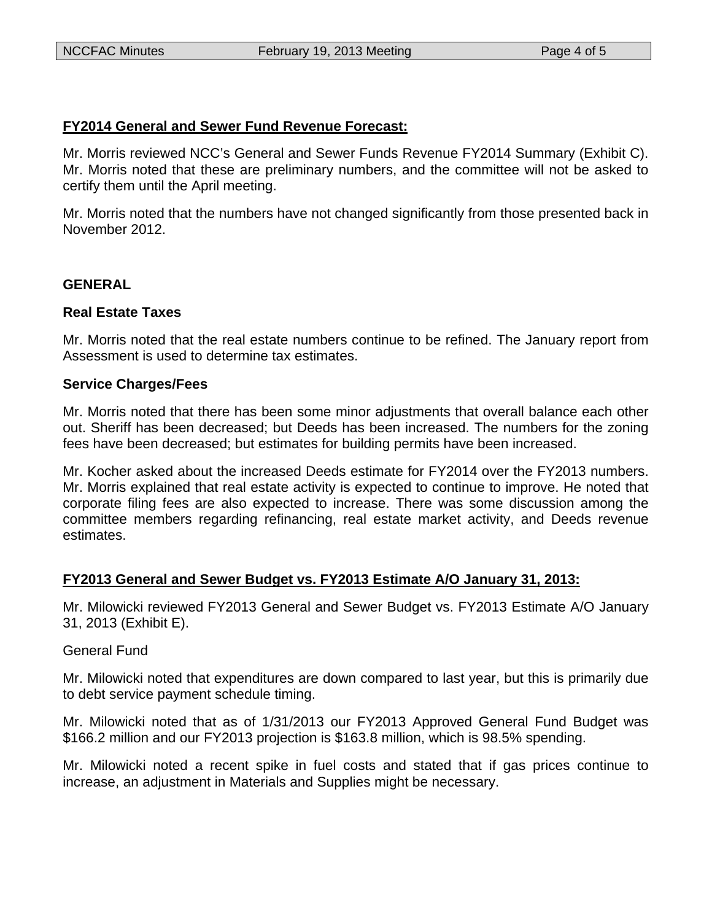### **FY2014 General and Sewer Fund Revenue Forecast:**

Mr. Morris reviewed NCC's General and Sewer Funds Revenue FY2014 Summary (Exhibit C). Mr. Morris noted that these are preliminary numbers, and the committee will not be asked to certify them until the April meeting.

Mr. Morris noted that the numbers have not changed significantly from those presented back in November 2012.

### **GENERAL**

### **Real Estate Taxes**

Mr. Morris noted that the real estate numbers continue to be refined. The January report from Assessment is used to determine tax estimates.

### **Service Charges/Fees**

Mr. Morris noted that there has been some minor adjustments that overall balance each other out. Sheriff has been decreased; but Deeds has been increased. The numbers for the zoning fees have been decreased; but estimates for building permits have been increased.

Mr. Kocher asked about the increased Deeds estimate for FY2014 over the FY2013 numbers. Mr. Morris explained that real estate activity is expected to continue to improve. He noted that corporate filing fees are also expected to increase. There was some discussion among the committee members regarding refinancing, real estate market activity, and Deeds revenue estimates.

### **FY2013 General and Sewer Budget vs. FY2013 Estimate A/O January 31, 2013:**

Mr. Milowicki reviewed FY2013 General and Sewer Budget vs. FY2013 Estimate A/O January 31, 2013 (Exhibit E).

### General Fund

Mr. Milowicki noted that expenditures are down compared to last year, but this is primarily due to debt service payment schedule timing.

Mr. Milowicki noted that as of 1/31/2013 our FY2013 Approved General Fund Budget was \$166.2 million and our FY2013 projection is \$163.8 million, which is 98.5% spending.

Mr. Milowicki noted a recent spike in fuel costs and stated that if gas prices continue to increase, an adjustment in Materials and Supplies might be necessary.